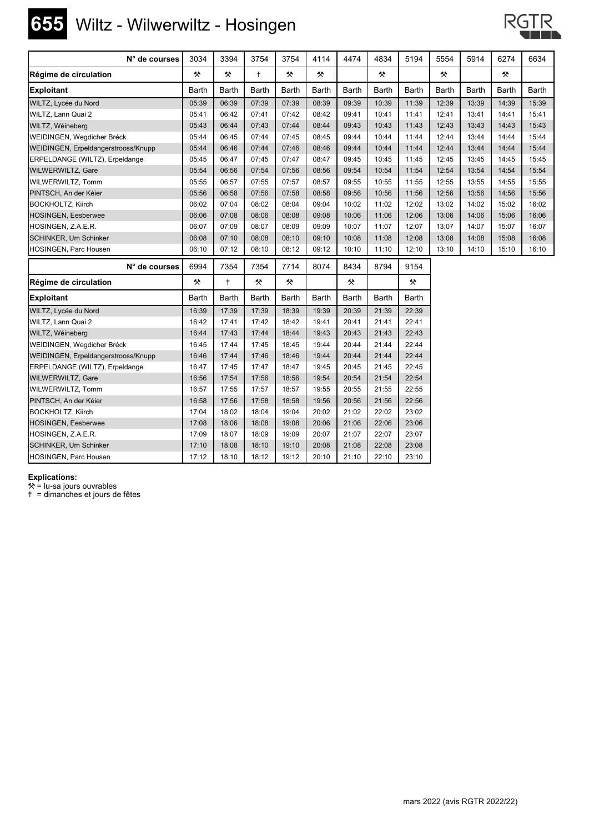## **655** Wiltz - Wilwerwiltz - Hosingen



| N° de courses                       | 3034         | 3394         | 3754       | 3754         | 4114  | 4474         | 4834         | 5194         | 5554  | 5914  | 6274  | 6634         |
|-------------------------------------|--------------|--------------|------------|--------------|-------|--------------|--------------|--------------|-------|-------|-------|--------------|
| Régime de circulation               | 父            | 父            | $\ddagger$ | 샷            | 父     |              | 父            |              | 父     |       | 父     |              |
| <b>Exploitant</b>                   | <b>Barth</b> | Barth        | Barth      | <b>Barth</b> | Barth | <b>Barth</b> | <b>Barth</b> | <b>Barth</b> | Barth | Barth | Barth | <b>Barth</b> |
| WILTZ, Lycée du Nord                | 05:39        | 06:39        | 07:39      | 07:39        | 08:39 | 09:39        | 10:39        | 11:39        | 12:39 | 13:39 | 14:39 | 15:39        |
| WILTZ, Lann Quai 2                  | 05:41        | 06:42        | 07:41      | 07:42        | 08:42 | 09:41        | 10:41        | 11:41        | 12:41 | 13:41 | 14:41 | 15:41        |
| WILTZ, Wéineberg                    | 05:43        | 06:44        | 07:43      | 07:44        | 08:44 | 09:43        | 10:43        | 11:43        | 12:43 | 13:43 | 14:43 | 15:43        |
| WEIDINGEN, Wegdicher Bréck          | 05:44        | 06:45        | 07:44      | 07:45        | 08:45 | 09:44        | 10:44        | 11:44        | 12:44 | 13:44 | 14:44 | 15:44        |
| WEIDINGEN, Erpeldangerstrooss/Knupp | 05:44        | 06:46        | 07:44      | 07:46        | 08:46 | 09:44        | 10:44        | 11:44        | 12:44 | 13:44 | 14:44 | 15:44        |
| ERPELDANGE (WILTZ), Erpeldange      | 05:45        | 06:47        | 07:45      | 07:47        | 08:47 | 09:45        | 10:45        | 11:45        | 12:45 | 13:45 | 14:45 | 15:45        |
| <b>WILWERWILTZ, Gare</b>            | 05:54        | 06:56        | 07:54      | 07:56        | 08:56 | 09:54        | 10:54        | 11:54        | 12:54 | 13:54 | 14:54 | 15:54        |
| WILWERWILTZ, Tomm                   | 05:55        | 06:57        | 07:55      | 07:57        | 08:57 | 09:55        | 10:55        | 11:55        | 12:55 | 13:55 | 14:55 | 15:55        |
| PINTSCH, An der Kéier               | 05:56        | 06:58        | 07:56      | 07:58        | 08:58 | 09:56        | 10:56        | 11:56        | 12:56 | 13:56 | 14:56 | 15:56        |
| <b>BOCKHOLTZ, Kiirch</b>            | 06:02        | 07:04        | 08:02      | 08:04        | 09:04 | 10:02        | 11:02        | 12:02        | 13:02 | 14:02 | 15:02 | 16:02        |
| HOSINGEN, Eesberwee                 | 06:06        | 07:08        | 08:06      | 08:08        | 09:08 | 10:06        | 11:06        | 12:06        | 13:06 | 14:06 | 15:06 | 16:06        |
| HOSINGEN, Z.A.E.R.                  | 06:07        | 07:09        | 08:07      | 08:09        | 09:09 | 10:07        | 11:07        | 12:07        | 13:07 | 14:07 | 15:07 | 16:07        |
| SCHINKER, Um Schinker               | 06:08        | 07:10        | 08:08      | 08:10        | 09:10 | 10:08        | 11:08        | 12:08        | 13:08 | 14:08 | 15:08 | 16:08        |
| HOSINGEN, Parc Housen               | 06:10        | 07:12        | 08:10      | 08:12        | 09:12 | 10:10        | 11:10        | 12:10        | 13:10 | 14:10 | 15:10 | 16:10        |
| N° de courses                       | 6994         | 7354         | 7354       | 7714         | 8074  | 8434         | 8794         | 9154         |       |       |       |              |
| Régime de circulation               | 父            | $\ddagger$   | 父          | 父            |       | 父            |              | 父            |       |       |       |              |
| <b>Exploitant</b>                   | Barth        | <b>Barth</b> | Barth      | <b>Barth</b> | Barth | <b>Barth</b> | <b>Barth</b> | <b>Barth</b> |       |       |       |              |
| WILTZ, Lycée du Nord                | 16:39        | 17:39        | 17:39      | 18:39        | 19:39 | 20:39        | 21:39        | 22:39        |       |       |       |              |
| WILTZ, Lann Quai 2                  | 16:42        | 17:41        | 17:42      | 18:42        | 19:41 | 20:41        | 21:41        | 22:41        |       |       |       |              |
| WILTZ, Wéineberg                    | 16:44        | 17:43        | 17:44      | 18:44        | 19:43 | 20:43        | 21:43        | 22:43        |       |       |       |              |
| WEIDINGEN, Wegdicher Bréck          | 16:45        | 17:44        | 17:45      | 18:45        | 19:44 | 20:44        | 21:44        | 22:44        |       |       |       |              |
| WEIDINGEN, Erpeldangerstrooss/Knupp | 16:46        | 17:44        | 17:46      | 18:46        | 19:44 | 20:44        | 21:44        | 22:44        |       |       |       |              |
| ERPELDANGE (WILTZ), Erpeldange      | 16:47        | 17:45        | 17:47      | 18:47        | 19:45 | 20:45        | 21:45        | 22:45        |       |       |       |              |
| WILWERWILTZ, Gare                   | 16:56        | 17:54        | 17:56      | 18:56        | 19:54 | 20:54        | 21:54        | 22:54        |       |       |       |              |
| WILWERWILTZ, Tomm                   | 16:57        | 17:55        | 17:57      | 18:57        | 19:55 | 20:55        | 21:55        | 22:55        |       |       |       |              |
| PINTSCH, An der Kéier               | 16:58        | 17:56        | 17:58      | 18:58        | 19:56 | 20:56        | 21:56        | 22:56        |       |       |       |              |
| <b>BOCKHOLTZ, Kiirch</b>            | 17:04        | 18:02        | 18:04      | 19:04        | 20:02 | 21:02        | 22:02        | 23:02        |       |       |       |              |
| <b>HOSINGEN, Eesberwee</b>          | 17:08        | 18:06        | 18:08      | 19:08        | 20:06 | 21:06        | 22:06        | 23:06        |       |       |       |              |
| HOSINGEN, Z.A.E.R.                  | 17:09        | 18:07        | 18:09      | 19:09        | 20:07 | 21:07        | 22:07        | 23:07        |       |       |       |              |
| SCHINKER, Um Schinker               | 17:10        | 18:08        | 18:10      | 19:10        | 20:08 | 21:08        | 22:08        | 23:08        |       |       |       |              |
| HOSINGEN, Parc Housen               | 17:12        | 18:10        | 18:12      | 19:12        | 20:10 | 21:10        | 22:10        | 23:10        |       |       |       |              |

**Explications:**

 $*$  = lu-sa jours ouvrables

) = dimanches et jours de fêtes